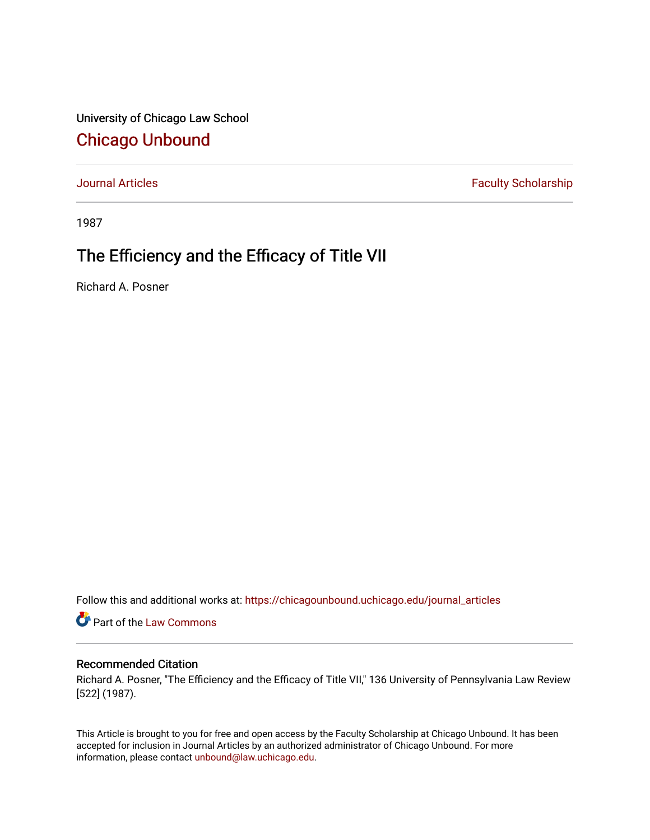University of Chicago Law School [Chicago Unbound](https://chicagounbound.uchicago.edu/)

[Journal Articles](https://chicagounbound.uchicago.edu/journal_articles) **Faculty Scholarship Faculty Scholarship** 

1987

# The Efficiency and the Efficacy of Title VII

Richard A. Posner

Follow this and additional works at: [https://chicagounbound.uchicago.edu/journal\\_articles](https://chicagounbound.uchicago.edu/journal_articles?utm_source=chicagounbound.uchicago.edu%2Fjournal_articles%2F1817&utm_medium=PDF&utm_campaign=PDFCoverPages) 

Part of the [Law Commons](http://network.bepress.com/hgg/discipline/578?utm_source=chicagounbound.uchicago.edu%2Fjournal_articles%2F1817&utm_medium=PDF&utm_campaign=PDFCoverPages)

### Recommended Citation

Richard A. Posner, "The Efficiency and the Efficacy of Title VII," 136 University of Pennsylvania Law Review [522] (1987).

This Article is brought to you for free and open access by the Faculty Scholarship at Chicago Unbound. It has been accepted for inclusion in Journal Articles by an authorized administrator of Chicago Unbound. For more information, please contact [unbound@law.uchicago.edu](mailto:unbound@law.uchicago.edu).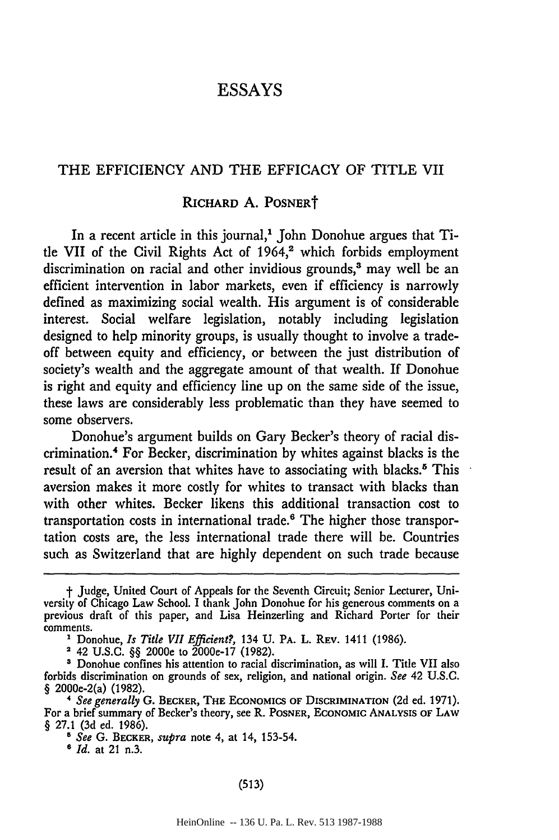# **ESSAYS**

#### THE EFFICIENCY AND THE EFFICACY OF TITLE VII

#### RICHARD **A.** POSNERt

In a recent article in this journal,' John Donohue argues that Title VII of the Civil Rights Act of 1964,<sup>2</sup> which forbids employment discrimination on racial and other invidious grounds,<sup>3</sup> may well be an efficient intervention in labor markets, even if efficiency is narrowly defined as maximizing social wealth. His argument is of considerable interest. Social welfare legislation, notably including legislation designed to help minority groups, is usually thought to involve a tradeoff between equity and efficiency, or between the just distribution of society's wealth and the aggregate amount of that wealth. If Donohue is right and equity and efficiency line up on the same side of the issue, these laws are considerably less problematic than they have seemed to some observers.

Donohue's argument builds on Gary Becker's theory of racial discrimination.4 For Becker, discrimination by whites against blacks is the result of an aversion that whites have to associating with blacks.<sup>5</sup> This aversion makes it more costly for whites to transact with blacks than with other whites. Becker likens this additional transaction cost to transportation costs in international trade.<sup>6</sup> The higher those transportation costs are, the less international trade there will be. Countries such as Switzerland that are highly dependent on such trade because

<sup>2</sup>42 U.S.C. §§ 2000e to 2000e-17 (1982).

t Judge, United Court of Appeals for the Seventh Circuit; Senior Lecturer, University of Chicago Law School. I thank John Donohue for his generous comments on a previous draft of this paper, and Lisa Heinzerling and Richard Porter for their comments.

**<sup>1</sup>**Donohue, *Is Title VII Efficient?,* 134 U. PA. L. REV. 1411 (1986).

**<sup>3</sup>**Donohue confines his attention to racial discrimination, as will I. Title VII also forbids discrimination on grounds of sex, religion, and national origin. *See* 42 U.S.C. § 2000e-2(a) (1982).

*<sup>4</sup> See generally* **G. BECKER, THE ECONOMICS OF** DISCRIMINATION **(2d** ed. 1971). For a brief summary of Becker's theory, see R. POSNER, ECONOMIC **ANALYSIS** OF **LAW** § 27.1 (3d ed. 1986).

*<sup>5</sup> See* G. **BECKER,** *supra* note 4, at 14, 153-54. *e Id.* at 21 n.3.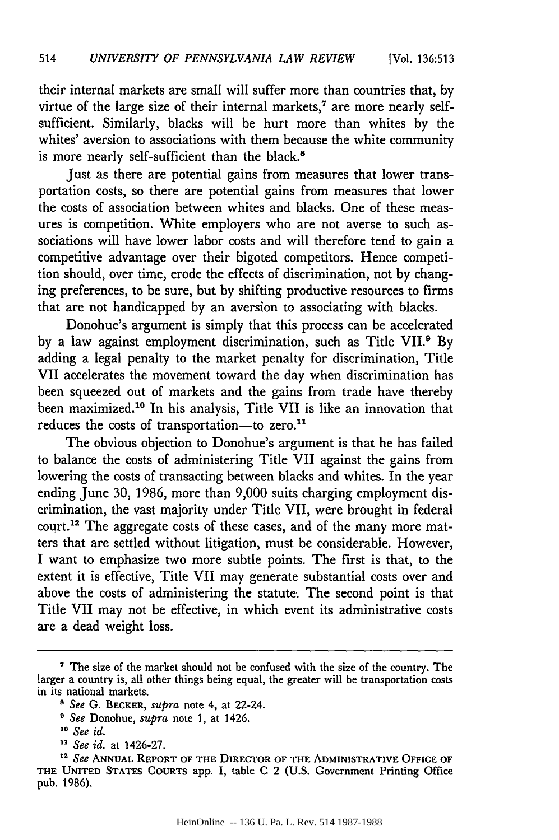their internal markets are small will suffer more than countries that, by virtue of the large size of their internal markets, $7$  are more nearly selfsufficient. Similarly, blacks will be hurt more than whites by the whites' aversion to associations with them because the white community is more nearly self-sufficient than the black.<sup>8</sup>

Just as there are potential gains from measures that lower transportation costs, so there are potential gains from measures that lower the costs of association between whites and blacks. One of these measures is competition. White employers who are not averse to such associations will have lower labor costs and will therefore tend to gain a competitive advantage over their bigoted competitors. Hence competition should, over time, erode the effects of discrimination, not by changing preferences, to be sure, but by shifting productive resources to firms that are not handicapped by an aversion to associating with blacks.

Donohue's argument is simply that this process can be accelerated by a law against employment discrimination, such as Title VII.<sup>9</sup> By adding a legal penalty to the market penalty for discrimination, Title VII accelerates the movement toward the day when discrimination has been squeezed out of markets and the gains from trade have thereby been maximized.'0 In his analysis, Title VII is like an innovation that reduces the costs of transportation-to zero.<sup>11</sup>

The obvious objection to Donohue's argument is that he has failed to balance the costs of administering Title VII against the gains from lowering the costs of transacting between blacks and whites. In the year ending June 30, 1986, more than 9,000 suits charging employment discrimination, the vast majority under Title VII, were brought in federal court.<sup>12</sup> The aggregate costs of these cases, and of the many more matters that are settled without litigation, must be considerable. However, I want to emphasize two more subtle points. The first is that, to the extent it is effective, Title VII may generate substantial costs over and above the costs of administering the statute, The second point is that Title VII may not be effective, in which event its administrative costs are a dead weight loss.

*n See id.* at 1426-27.

**<sup>&#</sup>x27;** The size of the market should not be confused with the size of the country. The larger a country is, all other things being equal, the greater will be transportation costs in its national markets.

*<sup>8</sup> See* G. BECKER, *supra* note 4, at 22-24.

*<sup>9</sup> See* Donohue, *supra* note 1, at 1426.

**<sup>10</sup>***See id.*

**<sup>12</sup>***See* **ANNUAL REPORT OF THE DIRECTOR OF THE ADMINISTRATIVE OFFICE OF THE** UNITED **STATES COURTS** app. I, table C 2 **(U.S.** Government Printing Office pub. **1986).**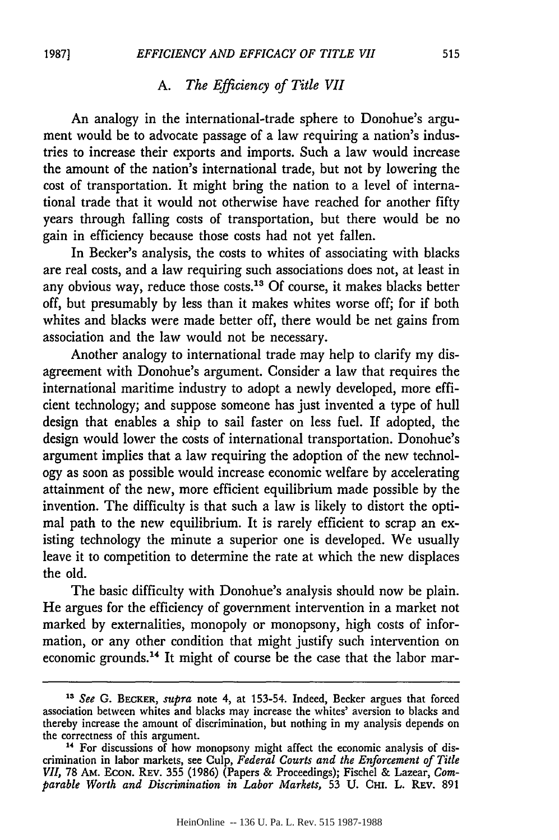# *A. The Efficiency of Title VII*

An analogy in the international-trade sphere to Donohue's argument would be to advocate passage of a law requiring a nation's industries to increase their exports and imports. Such a law would increase the amount of the nation's international trade, but not by lowering the cost of transportation. It might bring the nation to a level of international trade that it would not otherwise have reached for another fifty years through falling costs of transportation, but there would be no gain in efficiency because those costs had not yet fallen.

In Becker's analysis, the costs to whites of associating with blacks are real costs, and a law requiring such associations does not, at least in any obvious way, reduce those costs.<sup>13</sup> Of course, it makes blacks better off, but presumably by less than it makes whites worse off; for if both whites and blacks were made better off, there would be net gains from association and the law would not be necessary.

Another analogy to international trade may help to clarify my disagreement with Donohue's argument. Consider a law that requires the international maritime industry to adopt a newly developed, more efficient technology; and suppose someone has just invented a type of hull design that enables a ship to sail faster on less fuel. If adopted, the design would lower the costs of international transportation. Donohue's argument implies that a law requiring the adoption of the new technology as soon as possible would increase economic welfare by accelerating attainment of the new, more efficient equilibrium made possible by the invention. The difficulty is that such a law is likely to distort the optimal path to the new equilibrium. It is rarely efficient to scrap an existing technology the minute a superior one is developed. We usually leave it to competition to determine the rate at which the new displaces the old.

The basic difficulty with Donohue's analysis should now be plain. He argues for the efficiency of government intervention in a market not marked by externalities, monopoly or monopsony, high costs of information, or any other condition that might justify such intervention on economic grounds.14 It might of course be the case that the labor mar-

**19871**

*<sup>&</sup>quot;3 See* **G. BECKER,** *supra* note 4, at 153-54. Indeed, Becker argues that forced association between whites and blacks may increase the whites' aversion to blacks and thereby increase the amount of discrimination, but nothing in my analysis depends on the correctness of this argument.

<sup>&</sup>lt;sup>14</sup> For discussions of how monopsony might affect the economic analysis of discrimination in labor markets, see Culp, *Federal Courts and the Enforcement of Title VII,* 78 AM. **ECON.** REv. **355** (1986) (Papers & Proceedings); Fischel & Lazear, *Com-parable Worth and Discrimination in Labor Markets,* 53 U. **CHi.** L. REv. 891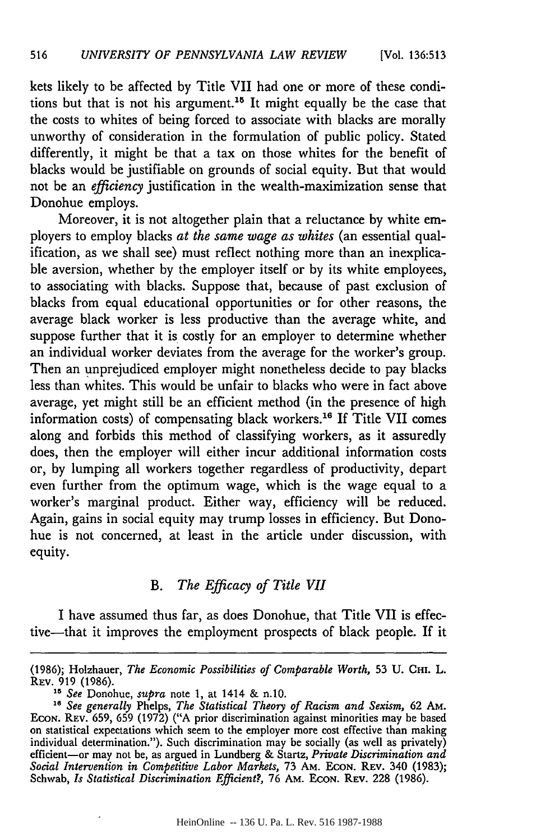kets likely to be affected by Title VII had one or more of these conditions but that is not his argument.<sup>15</sup> It might equally be the case that the costs to whites of being forced to associate with blacks are morally unworthy of consideration in the formulation of public policy. Stated differently, it might be that a tax on those whites for the benefit of blacks would be justifiable on grounds of social equity. But that would not be an *efficiency* justification in the wealth-maximization sense that Donohue employs.

Moreover, it is not altogether plain that a reluctance by white employers to employ blacks *at the same wage as whites* (an essential qualification, as we shall see) must reflect nothing more than an inexplicable aversion, whether by the employer itself or by its white employees, to associating with blacks. Suppose that, because of past exclusion of blacks from equal educational opportunities or for other reasons, the average black worker is less productive than the average white, and suppose further that it is costly for an employer to determine whether an individual worker deviates from the average for the worker's group. Then an unprejudiced employer might nonetheless decide to pay blacks less than whites. This would be unfair to blacks who were in fact above average, yet might still be an efficient method (in the presence of high information costs) of compensating black workers.<sup>16</sup> If Title VII comes along and forbids this method of classifying workers, as it assuredly does, then the employer will either incur additional information costs or, by lumping all workers together regardless of productivity, depart even further from the optimum wage, which is the wage equal to a worker's marginal product. Either way, efficiency will be reduced. Again, gains in social equity may trump losses in efficiency. But Donohue is not concerned, at least in the article under discussion, with equity.

## *B. The Efficacy of Title VII*

I have assumed thus far, as does Donohue, that Title VII is effective-that it improves the employment prospects of black people. If it

<sup>(1986);</sup> Holzhauer, *The Economic Possibilities of Comparable Worth,* 53 U. **CHI.** L. REV. 919 (1986). **"** *See* Donohue, *supra* note 1, at 1414 & n.10.

*<sup>&</sup>quot; See generally* Phelps, *The Statistical Theory of Racism and Sexism,* 62 AM. **ECON.** REV. 659, 659 (1972) ("A prior discrimination against minorities may be based on statistical expectations which seem to the employer more cost effective than making individual determination."). Such discrimination may be socially (as well as privately) efficient-or may not be, as argued in Lundberg & Startz, *Private Discrimination and Social Intervention in Competitive Labor Markets,* 73 AM. ECON. REV. 340 (1983); Schwab, *Is Statistical Discrimination Efficient?,* 76 AM. **ECON.** REV. 228 (1986).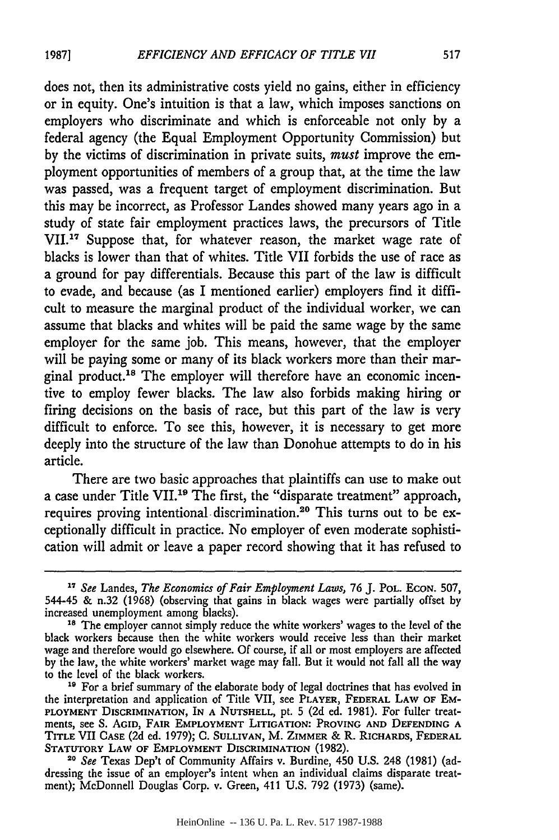does not, then its administrative costs yield no gains, either in efficiency or in equity. One's intuition is that a law, which imposes sanctions on employers who discriminate and which is enforceable not only by a federal agency (the Equal Employment Opportunity Commission) but by the victims of discrimination in private suits, *must* improve the employment opportunities of members of a group that, at the time the law was passed, was a frequent target of employment discrimination. But this may be incorrect, as Professor Landes showed many years ago in a study of state fair employment practices laws, the precursors of Title VII.17 Suppose that, for whatever reason, the market wage rate of blacks is lower than that of whites. Title VII forbids the use of race as a ground for pay differentials. Because this part of the law is difficult to evade, and because (as I mentioned earlier) employers find it difficult to measure the marginal product of the individual worker, we can assume that blacks and whites will be paid the same wage by the same employer for the same job. This means, however, that the employer will be paying some or many of its black workers more than their marginal product.<sup>18</sup> The employer will therefore have an economic incentive to employ fewer blacks. The law also forbids making hiring or firing decisions on the basis of race, but this part of the law is very difficult to enforce. To see this, however, it is necessary to get more deeply into the structure of the law than Donohue attempts to do in his article.

There are two basic approaches that plaintiffs can use to make out a case under Title VII.<sup>19</sup> The first, the "disparate treatment" approach, requires proving intentional discrimination.<sup>20</sup> This turns out to be exceptionally difficult in practice. No employer of even moderate sophistication will admit or leave a paper record showing that it has refused to

*20 See* Texas Dep't of Community Affairs v. Burdine, 450 U.S. 248 (1981) (addressing the issue of an employer's intent when an individual claims disparate treatment); McDonnell Douglas Corp. v. Green, 411 U.S. 792 (1973) (same).

**<sup>17</sup>***See* Landes, *The Economics of Fair Employment Laws, 76* J. POL. **EcoN.** 507, 544-45 & n.32 (1968) (observing that gains in black wages were partially offset by increased unemployment among blacks). **'8** The employer cannot simply reduce the white workers' wages to the level of the

black workers because then the white workers would receive less than their market wage and therefore would go elsewhere. Of course, if all or most employers are affected by the law, the white workers' market wage may fall. But it would not fall all the way to the level of the black workers.

<sup>&</sup>lt;sup>19</sup> For a brief summary of the elaborate body of legal doctrines that has evolved in the interpretation and application of Title VII, see PLAYER, FEDERAL LAW OF EM-PLOYMENT DISCRIMINATION, IN **A NUTSHELL,** pt. 5 (2d ed. 1981). For fuller treatments, see S. **AGID,** FAIR EMPLOYMENT LITIGATION: PROVING **AND DEFENDING A** TITLE VII **CASE** (2d ed. 1979); C. **SULLIVAN,** M. ZIMMER & R. RICHARDS, FEDERAL **STATUTORY** LAW OF EMPLOYMENT DISCRIMINATION (1982).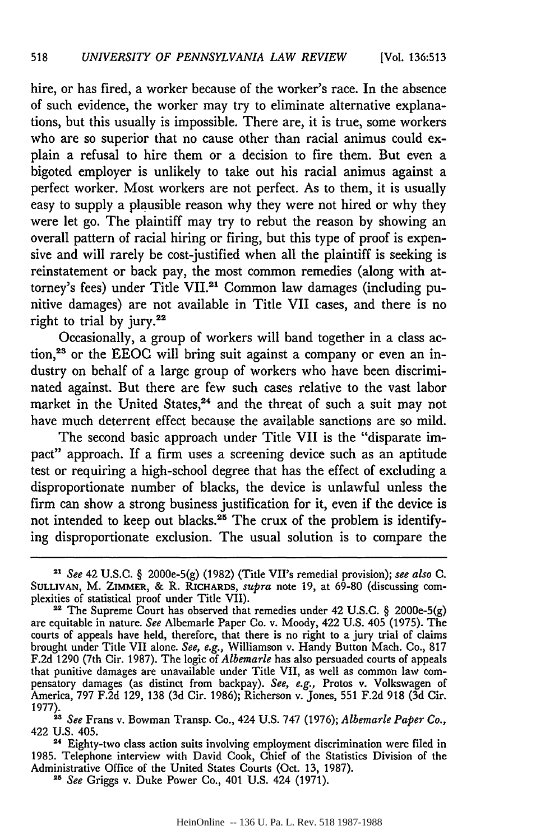hire, or has fired, a worker because of the worker's race. In the absence of such evidence, the worker may try to eliminate alternative explanations, but this usually is impossible. There are, it is true, some workers who are so superior that no cause other than racial animus could explain a refusal to hire them or a decision to fire them. But even a bigoted employer is unlikely to take out his racial animus against a perfect worker. Most workers are not perfect. As to them, it is usually easy to supply a plausible reason why they were not hired or why they were let go. The plaintiff may try to rebut the reason by showing an overall pattern of racial hiring or firing, but this type of proof is expensive and will rarely be cost-justified when all the plaintiff is seeking is reinstatement or back pay, the most common remedies (along with attorney's fees) under Title VII.<sup>21</sup> Common law damages (including punitive damages) are not available in Title VII cases, and there is no right to trial by jury.<sup>22</sup>

Occasionally, a group of workers will band together in a class action,<sup>23</sup> or the EEOC will bring suit against a company or even an industry on behalf of a large group of workers who have been discriminated against. But there are few such cases relative to the vast labor market in the United States,<sup>24</sup> and the threat of such a suit may not have much deterrent effect because the available sanctions are so mild.

The second basic approach under Title VII is the "disparate impact" approach. If a firm uses a screening device such as an aptitude test or requiring a high-school degree that has the effect of excluding a disproportionate number of blacks, the device is unlawful unless the firm can show a strong business justification for it, even if the device is not intended to keep out blacks.25 The crux of the problem is identifying disproportionate exclusion. The usual solution is to compare the

422 U.S. 405.

**"'** Eighty-two class action suits involving employment discrimination were filed in 1985. Telephone interview with David Cook, Chief of the Statistics Division of the Administrative Office of the United States Courts (Oct. 13, 1987).

*" See* Griggs v. Duke Power Co., 401 U.S. 424 (1971).

*<sup>2</sup> See* 42 U.S.C. § 2000e-5(g) (1982) (Title VII's remedial provision); *see also C.* **SULLIVAN,** M. ZIMMER, & R. RICHARDS, *supra* note 19, at 69-80 (discussing complexities of statistical proof under Title VII).

**<sup>2</sup>**The Supreme Court has observed that remedies under 42 U.S.C. § 2000e-5(g) are equitable in nature. *See* Albemarle Paper Co. v. Moody, 422 U.S. 405 (1975). The courts of appeals have held, therefore, that there is no right to a jury trial of claims brought under Title VII alone. *See, e.g.,* Williamson v. Handy Button Mach. Co., 817 F.2d 1290 (7th Cir. 1987). The logic of *Albemarle* has also persuaded courts of appeals that punitive damages are unavailable under Title VII, as well as common law compensatory damages (as distinct from backpay). *See, e.g.,* Protos v. Volkswagen of America, 797 F.2d 129, 138 (3d Cir. 1986); Richerson v. Jones, 551 F.2d 918 (3d Cir. 1977). *2 See* Frans v. Bowman Transp. Co., 424 U.S. 747 (1976); *Albemarle Paper Co.,*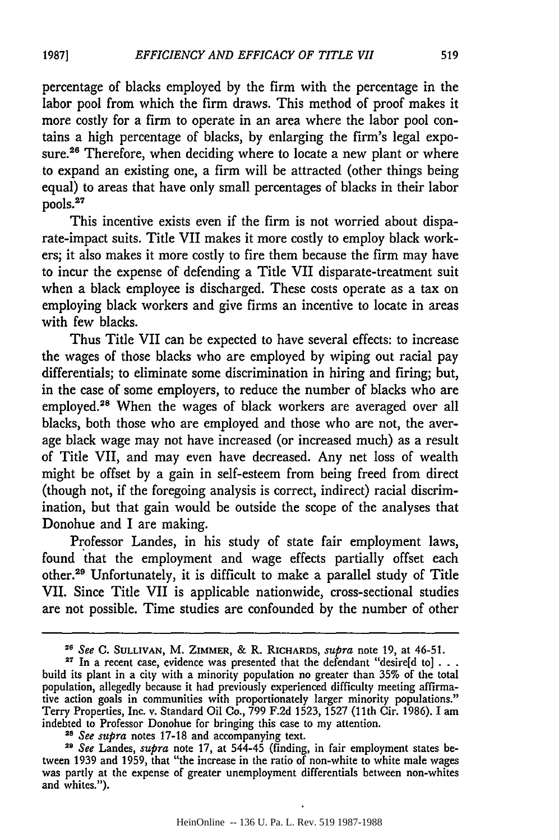percentage of blacks employed **by** the firm with the percentage in the labor pool from which the firm draws. This method of proof makes it more costly for a firm to operate in an area where the labor pool contains a high percentage of blacks, **by** enlarging the firm's legal exposure.<sup>26</sup> Therefore, when deciding where to locate a new plant or where to expand an existing one, a firm will be attracted (other things being equal) to areas that have only small percentages of blacks in their labor **pools. <sup>217</sup>**

This incentive exists even if the firm is not worried about disparate-impact suits. Title VII makes it more costly to employ black workers; it also makes it more costly to fire them because the firm may have to incur the expense of defending a Title VII disparate-treatment suit when a black employee is discharged. These costs operate as a tax on employing black workers and give firms an incentive to locate in areas with few blacks.

Thus Title VII can be expected to have several effects: to increase the wages of those blacks who are employed **by** wiping out racial pay differentials; to eliminate some discrimination in hiring and firing; but, in the case of some employers, to reduce the number of blacks who are employed.<sup>28</sup> When the wages of black workers are averaged over all blacks, both those who are employed and those who are not, the average black wage may not have increased (or increased much) as a result of Title VII, and may even have decreased. Any net loss of wealth might be offset **by** a gain in self-esteem from being freed from direct (though not, if the foregoing analysis is correct, indirect) racial discrimination, but that gain would be outside the scope of the analyses that Donohue and I are making.

Professor Landes, in his study of state fair employment laws, found that the employment and wage effects partially offset each other.29 Unfortunately, it is difficult to make a parallel study of Title **VII.** Since Title VII is applicable nationwide, cross-sectional studies are not possible. Time studies are confounded **by** the number of other

*<sup>28</sup>See supra* notes **17-18** and accompanying text.

**<sup>26</sup>***See* **C. SULLIVAN,** M. **ZIMMER, &** R. **RIcHARDS,** *supra* note **19,** at 46-51.

**<sup>27</sup>** In a recent case, evidence was presented that the defendant "desireld tol. build its plant in a city with a minority population no greater than **35%** of the total population, allegedly because it had previously experienced difficulty meeting affirmative action goals in communities with proportionately larger minority populations." Terry Properties, Inc. v. Standard Oil Co., **799 F.2d 1523, 1527 (11th** Cir. **1986).** I am indebted to Professor Donohue for bringing this case to my attention.

**<sup>29</sup>** *See* Landes, *supra* note 17, at 544-45 (finding, in fair employment states between 1939 and 1959, that "the increase in the ratio of non-white to white male wages was partly at the expense of greater unemployment differentials between non-whites and whites.").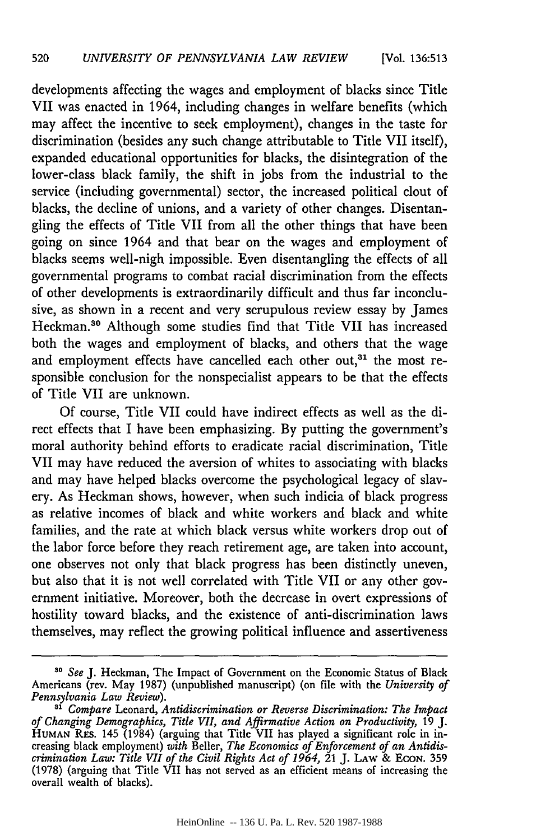developments affecting the wages and employment of blacks since Title VII was enacted in 1964, including changes in welfare benefits (which may affect the incentive to seek employment), changes in the taste for discrimination (besides any such change attributable to Title VII itself), expanded educational opportunities for blacks, the disintegration of the lower-class black family, the shift in jobs from the industrial to the service (including governmental) sector, the increased political clout of blacks, the decline of unions, and a variety of other changes. Disentangling the effects of Title VII from all the other things that have been going on since 1964 and that bear on the wages and employment of blacks seems well-nigh impossible. Even disentangling the effects of all governmental programs to combat racial discrimination from the effects of other developments is extraordinarily difficult and thus far inconclusive, as shown in a recent and very scrupulous review essay by James Heckman.30 Although some studies find that Title VII has increased both the wages and employment of blacks, and others that the wage and employment effects have cancelled each other out,<sup>31</sup> the most responsible conclusion for the nonspecialist appears to be that the effects of Title VII are unknown.

Of course, Title VII could have indirect effects as well as the direct effects that I have been emphasizing. By putting the government's moral authority behind efforts to eradicate racial discrimination, Title VII may have reduced the aversion of whites to associating with blacks and may have helped blacks overcome the psychological legacy of slavery. As Heckman shows, however, when such indicia of black progress as relative incomes of black and white workers and black and white families, and the rate at which black versus white workers drop out of the labor force before they reach retirement age, are taken into account, one observes not only that black progress has been distinctly uneven, but also that it is not well correlated with Title VII or any other government initiative. Moreover, both the decrease in overt expressions of hostility toward blacks, and the existence of anti-discrimination laws themselves, may reflect the growing political influence and assertiveness

*<sup>3&#</sup>x27; See* J. Heckman, The Impact of Government on the Economic Status of Black Americans (rev. May 1987) (unpublished manuscript) (on file with the *University of Pennsylvania Law Review).*

**<sup>31</sup>***Compare* Leonard, *Antidiscrimination or Reverse Discrimination: The Impact* of Changing Demographics, Title VII, and Affirmative Action on Productivity, 19 J. **HUMAN RES.** 145 (1984) (arguing that Title VII has played a significant role in increasing black employment) *with* Belier, *The Economics of Enforcement of an Antidiscrimination Law: Title VII of the Civil Rights Act of 1964,* 21 J. **LAW** & **ECON.** <sup>359</sup> (1978) (arguing that Title VII has not served as an efficient means of increasing the overall wealth of blacks).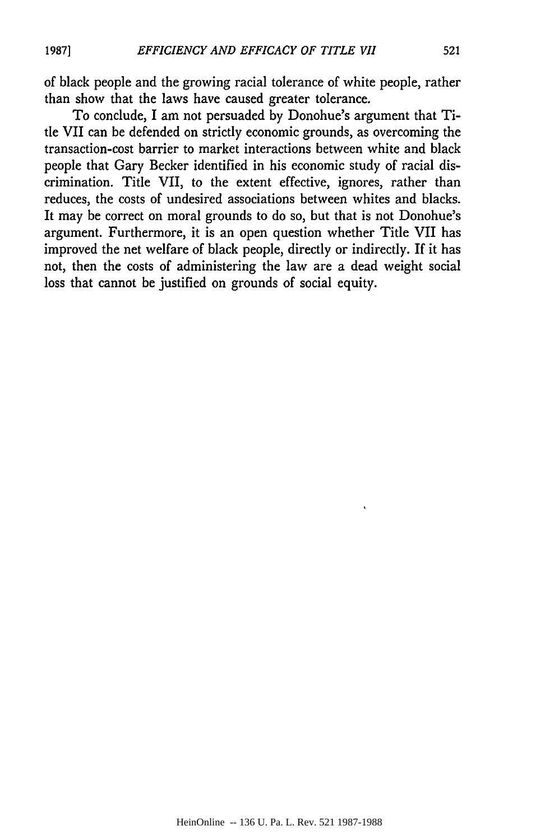of black people and the growing racial tolerance of white people, rather than show that the laws have caused greater tolerance.

To conclude, I am not persuaded by Donohue's argument that Title VII can be defended on strictly economic grounds, as overcoming the transaction-cost barrier to market interactions between white and black people that Gary Becker identified in his economic study of racial discrimination. Title VII, to the extent effective, ignores, rather than reduces, the costs of undesired associations between whites and blacks. It may be correct on moral grounds to do so, but that is not Donohue's argument. Furthermore, it is an open question whether Title VII has improved the net welfare of black people, directly or indirectly. If it has not, then the costs of administering the law are a dead weight social loss that cannot be justified on grounds of social equity.